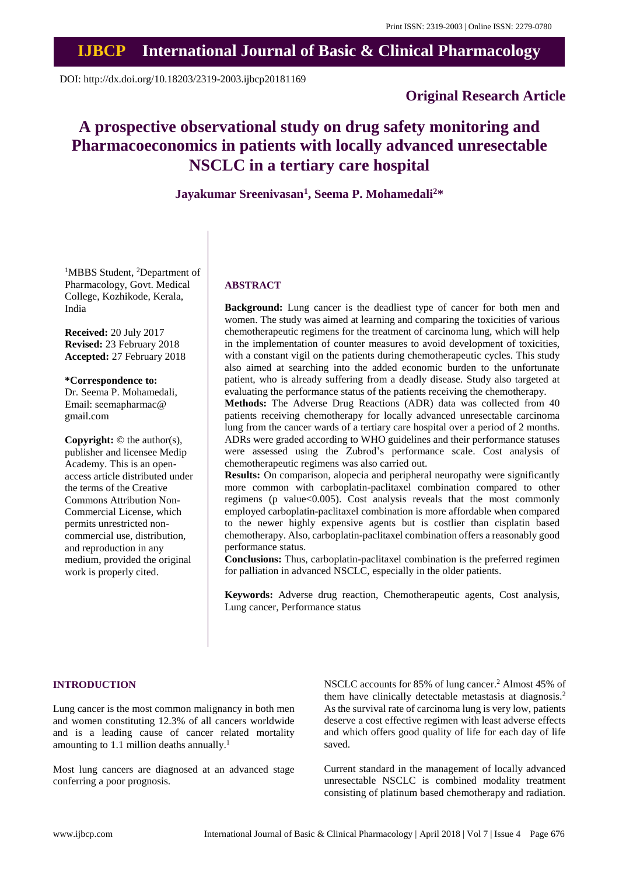## **IJBCP International Journal of Basic & Clinical Pharmacology**

DOI: http://dx.doi.org/10.18203/2319-2003.ijbcp20181169

## **Original Research Article**

# **A prospective observational study on drug safety monitoring and Pharmacoeconomics in patients with locally advanced unresectable NSCLC in a tertiary care hospital**

## **Jayakumar Sreenivasan<sup>1</sup> , Seema P. Mohamedali<sup>2</sup>\***

<sup>1</sup>MBBS Student, <sup>2</sup>Department of Pharmacology, Govt. Medical College, Kozhikode, Kerala, India

**Received:** 20 July 2017 **Revised:** 23 February 2018 **Accepted:** 27 February 2018

**\*Correspondence to:** Dr. Seema P. Mohamedali, Email: seemapharmac@ gmail.com

**Copyright:** © the author(s), publisher and licensee Medip Academy. This is an openaccess article distributed under the terms of the Creative Commons Attribution Non-Commercial License, which permits unrestricted noncommercial use, distribution, and reproduction in any medium, provided the original work is properly cited.

#### **ABSTRACT**

**Background:** Lung cancer is the deadliest type of cancer for both men and women. The study was aimed at learning and comparing the toxicities of various chemotherapeutic regimens for the treatment of carcinoma lung, which will help in the implementation of counter measures to avoid development of toxicities, with a constant vigil on the patients during chemotherapeutic cycles. This study also aimed at searching into the added economic burden to the unfortunate patient, who is already suffering from a deadly disease. Study also targeted at evaluating the performance status of the patients receiving the chemotherapy.

**Methods:** The Adverse Drug Reactions (ADR) data was collected from 40 patients receiving chemotherapy for locally advanced unresectable carcinoma lung from the cancer wards of a tertiary care hospital over a period of 2 months. ADRs were graded according to WHO guidelines and their performance statuses were assessed using the Zubrod's performance scale. Cost analysis of chemotherapeutic regimens was also carried out.

**Results:** On comparison, alopecia and peripheral neuropathy were significantly more common with carboplatin-paclitaxel combination compared to other regimens (p value $<0.005$ ). Cost analysis reveals that the most commonly employed carboplatin-paclitaxel combination is more affordable when compared to the newer highly expensive agents but is costlier than cisplatin based chemotherapy. Also, carboplatin-paclitaxel combination offers a reasonably good performance status.

**Conclusions:** Thus, carboplatin-paclitaxel combination is the preferred regimen for palliation in advanced NSCLC, especially in the older patients.

**Keywords:** Adverse drug reaction, Chemotherapeutic agents, Cost analysis, Lung cancer, Performance status

#### **INTRODUCTION**

Lung cancer is the most common malignancy in both men and women constituting 12.3% of all cancers worldwide and is a leading cause of cancer related mortality amounting to 1.1 million deaths annually.<sup>1</sup>

Most lung cancers are diagnosed at an advanced stage conferring a poor prognosis.

NSCLC accounts for 85% of lung cancer. <sup>2</sup> Almost 45% of them have clinically detectable metastasis at diagnosis. 2 As the survival rate of carcinoma lung is very low, patients deserve a cost effective regimen with least adverse effects and which offers good quality of life for each day of life saved.

Current standard in the management of locally advanced unresectable NSCLC is combined modality treatment consisting of platinum based chemotherapy and radiation.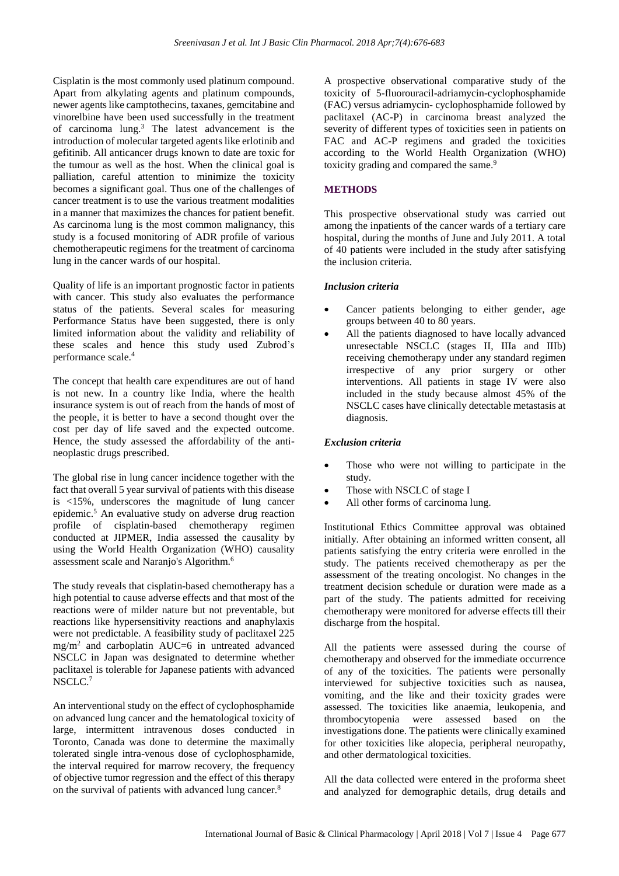Cisplatin is the most commonly used platinum compound. Apart from alkylating agents and platinum compounds, newer agents like camptothecins, taxanes, gemcitabine and vinorelbine have been used successfully in the treatment of carcinoma lung.<sup>3</sup> The latest advancement is the introduction of molecular targeted agents like erlotinib and gefitinib. All anticancer drugs known to date are toxic for the tumour as well as the host. When the clinical goal is palliation, careful attention to minimize the toxicity becomes a significant goal. Thus one of the challenges of cancer treatment is to use the various treatment modalities in a manner that maximizes the chances for patient benefit. As carcinoma lung is the most common malignancy, this study is a focused monitoring of ADR profile of various chemotherapeutic regimens for the treatment of carcinoma lung in the cancer wards of our hospital.

Quality of life is an important prognostic factor in patients with cancer. This study also evaluates the performance status of the patients. Several scales for measuring Performance Status have been suggested, there is only limited information about the validity and reliability of these scales and hence this study used Zubrod's performance scale. 4

The concept that health care expenditures are out of hand is not new. In a country like India, where the health insurance system is out of reach from the hands of most of the people, it is better to have a second thought over the cost per day of life saved and the expected outcome. Hence, the study assessed the affordability of the antineoplastic drugs prescribed.

The global rise in lung cancer incidence together with the fact that overall 5 year survival of patients with this disease is <15%, underscores the magnitude of lung cancer epidemic. <sup>5</sup> An evaluative study on adverse drug reaction profile of cisplatin-based chemotherapy regimen conducted at JIPMER, India assessed the causality by using the World Health Organization (WHO) causality assessment scale and Naranjo's Algorithm.<sup>6</sup>

The study reveals that cisplatin-based chemotherapy has a high potential to cause adverse effects and that most of the reactions were of milder nature but not preventable, but reactions like hypersensitivity reactions and anaphylaxis were not predictable. A feasibility study of paclitaxel 225 mg/m<sup>2</sup> and carboplatin AUC=6 in untreated advanced NSCLC in Japan was designated to determine whether paclitaxel is tolerable for Japanese patients with advanced NSCLC.<sup>7</sup>

An interventional study on the effect of cyclophosphamide on advanced lung cancer and the hematological toxicity of large, intermittent intravenous doses conducted in Toronto, Canada was done to determine the maximally tolerated single intra-venous dose of cyclophosphamide, the interval required for marrow recovery, the frequency of objective tumor regression and the effect of this therapy on the survival of patients with advanced lung cancer.<sup>8</sup>

A prospective observational comparative study of the toxicity of 5-fluorouracil-adriamycin-cyclophosphamide (FAC) versus adriamycin- cyclophosphamide followed by paclitaxel (AC-P) in carcinoma breast analyzed the severity of different types of toxicities seen in patients on FAC and AC-P regimens and graded the toxicities according to the World Health Organization (WHO) toxicity grading and compared the same.<sup>9</sup>

#### **METHODS**

This prospective observational study was carried out among the inpatients of the cancer wards of a tertiary care hospital, during the months of June and July 2011. A total of 40 patients were included in the study after satisfying the inclusion criteria.

#### *Inclusion criteria*

- Cancer patients belonging to either gender, age groups between 40 to 80 years.
- All the patients diagnosed to have locally advanced unresectable NSCLC (stages II, IIIa and IIIb) receiving chemotherapy under any standard regimen irrespective of any prior surgery or other interventions. All patients in stage IV were also included in the study because almost 45% of the NSCLC cases have clinically detectable metastasis at diagnosis.

#### *Exclusion criteria*

- Those who were not willing to participate in the study.
- Those with NSCLC of stage I
- All other forms of carcinoma lung.

Institutional Ethics Committee approval was obtained initially. After obtaining an informed written consent, all patients satisfying the entry criteria were enrolled in the study. The patients received chemotherapy as per the assessment of the treating oncologist. No changes in the treatment decision schedule or duration were made as a part of the study. The patients admitted for receiving chemotherapy were monitored for adverse effects till their discharge from the hospital.

All the patients were assessed during the course of chemotherapy and observed for the immediate occurrence of any of the toxicities. The patients were personally interviewed for subjective toxicities such as nausea, vomiting, and the like and their toxicity grades were assessed. The toxicities like anaemia, leukopenia, and thrombocytopenia were assessed based on the investigations done. The patients were clinically examined for other toxicities like alopecia, peripheral neuropathy, and other dermatological toxicities.

All the data collected were entered in the proforma sheet and analyzed for demographic details, drug details and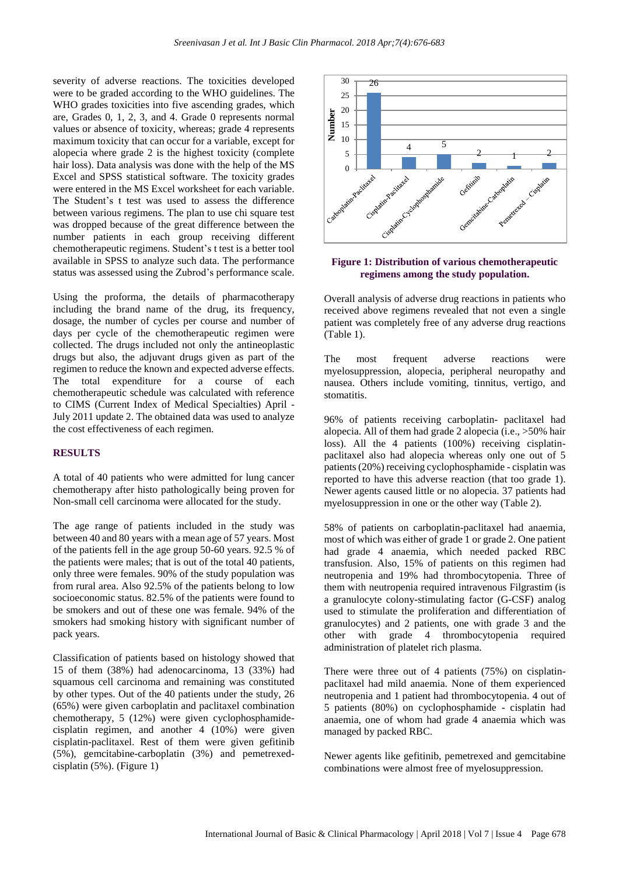severity of adverse reactions. The toxicities developed were to be graded according to the WHO guidelines. The WHO grades toxicities into five ascending grades, which are, Grades 0, 1, 2, 3, and 4. Grade 0 represents normal values or absence of toxicity, whereas; grade 4 represents maximum toxicity that can occur for a variable, except for alopecia where grade 2 is the highest toxicity (complete hair loss). Data analysis was done with the help of the MS Excel and SPSS statistical software. The toxicity grades were entered in the MS Excel worksheet for each variable. The Student's t test was used to assess the difference between various regimens. The plan to use chi square test was dropped because of the great difference between the number patients in each group receiving different chemotherapeutic regimens. Student's t test is a better tool available in SPSS to analyze such data. The performance status was assessed using the Zubrod's performance scale.

Using the proforma, the details of pharmacotherapy including the brand name of the drug, its frequency, dosage, the number of cycles per course and number of days per cycle of the chemotherapeutic regimen were collected. The drugs included not only the antineoplastic drugs but also, the adjuvant drugs given as part of the regimen to reduce the known and expected adverse effects. The total expenditure for a course of each chemotherapeutic schedule was calculated with reference to CIMS (Current Index of Medical Specialties) April - July 2011 update 2. The obtained data was used to analyze the cost effectiveness of each regimen.

#### **RESULTS**

A total of 40 patients who were admitted for lung cancer chemotherapy after histo pathologically being proven for Non-small cell carcinoma were allocated for the study.

The age range of patients included in the study was between 40 and 80 years with a mean age of 57 years. Most of the patients fell in the age group 50-60 years. 92.5 % of the patients were males; that is out of the total 40 patients, only three were females. 90% of the study population was from rural area. Also 92.5% of the patients belong to low socioeconomic status. 82.5% of the patients were found to be smokers and out of these one was female. 94% of the smokers had smoking history with significant number of pack years.

Classification of patients based on histology showed that 15 of them (38%) had adenocarcinoma, 13 (33%) had squamous cell carcinoma and remaining was constituted by other types. Out of the 40 patients under the study, 26 (65%) were given carboplatin and paclitaxel combination chemotherapy, 5 (12%) were given cyclophosphamidecisplatin regimen, and another 4 (10%) were given cisplatin-paclitaxel. Rest of them were given gefitinib (5%), gemcitabine-carboplatin (3%) and pemetrexedcisplatin (5%). (Figure 1)



#### **Figure 1: Distribution of various chemotherapeutic regimens among the study population.**

Overall analysis of adverse drug reactions in patients who received above regimens revealed that not even a single patient was completely free of any adverse drug reactions (Table 1).

The most frequent adverse reactions were myelosuppression, alopecia, peripheral neuropathy and nausea. Others include vomiting, tinnitus, vertigo, and stomatitis.

96% of patients receiving carboplatin- paclitaxel had alopecia. All of them had grade 2 alopecia (i.e., >50% hair loss). All the 4 patients (100%) receiving cisplatinpaclitaxel also had alopecia whereas only one out of 5 patients(20%) receiving cyclophosphamide - cisplatin was reported to have this adverse reaction (that too grade 1). Newer agents caused little or no alopecia. 37 patients had myelosuppression in one or the other way (Table 2).

58% of patients on carboplatin-paclitaxel had anaemia, most of which was either of grade 1 or grade 2. One patient had grade 4 anaemia, which needed packed RBC transfusion. Also, 15% of patients on this regimen had neutropenia and 19% had thrombocytopenia. Three of them with neutropenia required intravenous Filgrastim (is a granulocyte [colony-stimulating](http://en.wikipedia.org/wiki/Granulocyte_colony-stimulating_factor) factor (G-CSF) analog used to stimulate the proliferation and differentiation of [granulocytes\)](http://en.wikipedia.org/wiki/Granulocyte) and 2 patients, one with grade 3 and the other with grade 4 thrombocytopenia required administration of platelet rich plasma.

There were three out of 4 patients (75%) on cisplatinpaclitaxel had mild anaemia. None of them experienced neutropenia and 1 patient had thrombocytopenia. 4 out of 5 patients (80%) on cyclophosphamide - cisplatin had anaemia, one of whom had grade 4 anaemia which was managed by packed RBC.

Newer agents like gefitinib, pemetrexed and gemcitabine combinations were almost free of myelosuppression.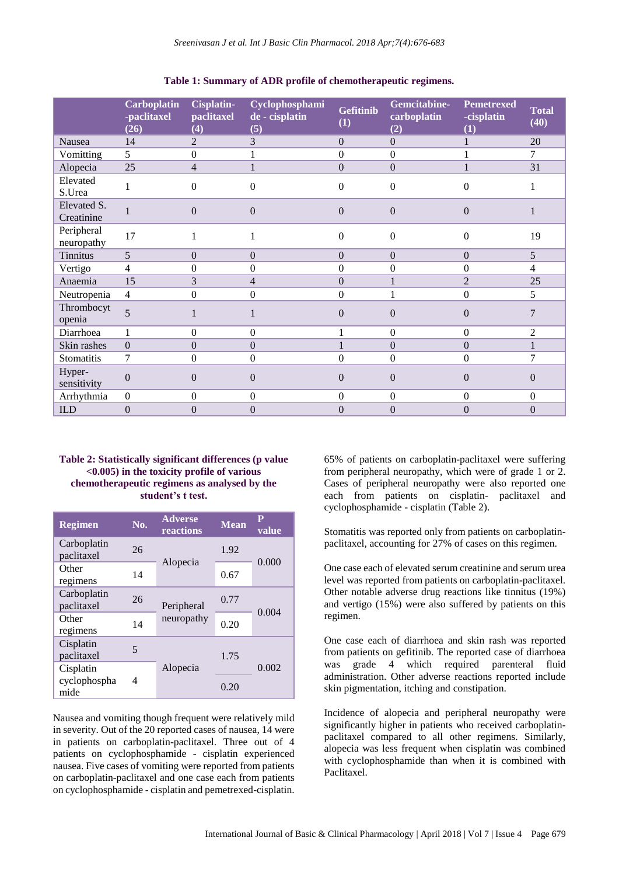|                           | <b>Carboplatin</b><br>-paclitaxel<br>(26) | Cisplatin-<br>paclitaxel<br>(4) | Cyclophosphami<br>de - cisplatin<br>(5) | <b>Gefitinib</b><br>(1) | Gemcitabine-<br>carboplatin<br>(2) | <b>Pemetrexed</b><br>-cisplatin<br>(1) | <b>Total</b><br>(40) |
|---------------------------|-------------------------------------------|---------------------------------|-----------------------------------------|-------------------------|------------------------------------|----------------------------------------|----------------------|
| Nausea                    | 14                                        | $\overline{2}$                  | 3                                       | $\boldsymbol{0}$        | $\mathbf{0}$                       | $\mathbf{1}$                           | 20                   |
| Vomitting                 | 5                                         | $\mathbf{0}$                    |                                         | $\boldsymbol{0}$        | $\mathbf{0}$                       |                                        | 7                    |
| Alopecia                  | 25                                        | $\overline{4}$                  |                                         | $\Omega$                | $\Omega$                           | 1                                      | 31                   |
| Elevated<br>S.Urea        |                                           | $\mathbf{0}$                    | $\Omega$                                | $\theta$                | $\Omega$                           | $\Omega$                               |                      |
| Elevated S.<br>Creatinine |                                           | $\mathbf{0}$                    | $\Omega$                                | $\theta$                | $\overline{0}$                     | $\Omega$                               |                      |
| Peripheral<br>neuropathy  | 17                                        | 1                               |                                         | $\theta$                | $\overline{0}$                     | $\Omega$                               | 19                   |
| <b>Tinnitus</b>           | $\overline{5}$                            | $\overline{0}$                  | $\Omega$                                | $\boldsymbol{0}$        | $\Omega$                           | $\Omega$                               | 5                    |
| Vertigo                   | $\overline{4}$                            | $\mathbf{0}$                    | $\boldsymbol{0}$                        | $\boldsymbol{0}$        | $\mathbf{0}$                       | $\mathbf{0}$                           | $\overline{4}$       |
| Anaemia                   | 15                                        | 3                               | 4                                       | $\boldsymbol{0}$        | 1                                  | $\overline{2}$                         | 25                   |
| Neutropenia               | $\overline{4}$                            | $\overline{0}$                  | $\Omega$                                | $\overline{0}$          | 1                                  | $\mathbf{0}$                           | 5                    |
| Thrombocyt<br>openia      | 5                                         | 1                               |                                         | $\theta$                | $\Omega$                           | $\Omega$                               | 7                    |
| Diarrhoea                 | 1                                         | $\mathbf{0}$                    | $\Omega$                                | 1                       | $\Omega$                           | $\mathbf{0}$                           | $\overline{2}$       |
| Skin rashes               | $\mathbf{0}$                              | $\mathbf{0}$                    | $\boldsymbol{0}$                        | 1                       | $\mathbf{0}$                       | $\overline{0}$                         | $\mathbf{1}$         |
| Stomatitis                | 7                                         | $\mathbf{0}$                    | $\boldsymbol{0}$                        | $\boldsymbol{0}$        | $\mathbf{0}$                       | $\mathbf{0}$                           | 7                    |
| Hyper-<br>sensitivity     | $\mathbf{0}$                              | $\mathbf{0}$                    | $\overline{0}$                          | $\theta$                | $\Omega$                           | $\Omega$                               | $\theta$             |
| Arrhythmia                | $\mathbf{0}$                              | $\boldsymbol{0}$                | $\Omega$                                | $\boldsymbol{0}$        | $\Omega$                           | $\mathbf{0}$                           | $\boldsymbol{0}$     |
| <b>ILD</b>                | $\mathbf{0}$                              | $\overline{0}$                  | $\overline{0}$                          | $\mathbf{0}$            | $\Omega$                           | $\boldsymbol{0}$                       | $\boldsymbol{0}$     |

#### **Table 1: Summary of ADR profile of chemotherapeutic regimens.**

#### **Table 2: Statistically significant differences (p value <0.005) in the toxicity profile of various chemotherapeutic regimens as analysed by the student's t test.**

| <b>Regimen</b>            | No.                      | <b>Adverse</b><br>reactions | <b>Mean</b> | value |  |
|---------------------------|--------------------------|-----------------------------|-------------|-------|--|
| Carboplatin<br>paclitaxel | 26                       |                             | 1.92        | 0.000 |  |
| Other<br>regimens         | 14                       | Alopecia                    | 0.67        |       |  |
| Carboplatin<br>paclitaxel | 26                       | Peripheral                  | 0.77        | 0.004 |  |
| Other<br>regimens         | 14                       | neuropathy                  | 0.20        |       |  |
| Cisplatin<br>paclitaxel   | $\overline{\mathcal{L}}$ |                             | 1.75        |       |  |
| Cisplatin                 |                          | Alopecia                    |             | 0.002 |  |
| cyclophospha<br>mide      | 4                        |                             | 0.20        |       |  |

Nausea and vomiting though frequent were relatively mild in severity. Out of the 20 reported cases of nausea, 14 were in patients on carboplatin-paclitaxel. Three out of 4 patients on cyclophosphamide - cisplatin experienced nausea. Five cases of vomiting were reported from patients on carboplatin-paclitaxel and one case each from patients on cyclophosphamide - cisplatin and pemetrexed-cisplatin.

65% of patients on carboplatin-paclitaxel were suffering from peripheral neuropathy, which were of grade 1 or 2. Cases of peripheral neuropathy were also reported one each from patients on cisplatin- paclitaxel and cyclophosphamide - cisplatin (Table 2).

Stomatitis was reported only from patients on carboplatinpaclitaxel, accounting for 27% of cases on this regimen.

One case each of elevated serum creatinine and serum urea level was reported from patients on carboplatin-paclitaxel. Other notable adverse drug reactions like tinnitus (19%) and vertigo (15%) were also suffered by patients on this regimen.

One case each of diarrhoea and skin rash was reported from patients on gefitinib. The reported case of diarrhoea was grade 4 which required parenteral fluid administration. Other adverse reactions reported include skin pigmentation, itching and constipation.

Incidence of alopecia and peripheral neuropathy were significantly higher in patients who received carboplatinpaclitaxel compared to all other regimens. Similarly, alopecia was less frequent when cisplatin was combined with cyclophosphamide than when it is combined with Paclitaxel.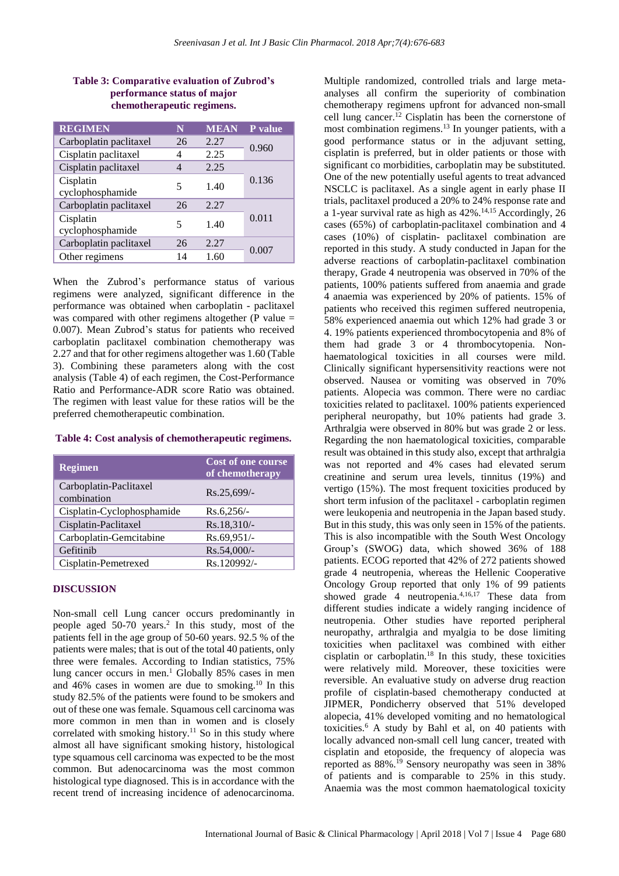#### **Table 3: Comparative evaluation of Zubrod's performance status of major chemotherapeutic regimens.**

| <b>REGIMEN</b>                | N  | <b>MEAN</b> | P value |  |
|-------------------------------|----|-------------|---------|--|
| Carboplatin paclitaxel        | 26 | 2.27        | 0.960   |  |
| Cisplatin paclitaxel          | 4  | 2.25        |         |  |
| Cisplatin paclitaxel          |    | 2.25        |         |  |
| Cisplatin<br>cyclophosphamide | 5  | 1.40        | 0.136   |  |
| Carboplatin paclitaxel        | 26 | 2.27        |         |  |
| Cisplatin<br>cyclophosphamide | 5  | 1.40        | 0.011   |  |
| Carboplatin paclitaxel        | 26 | 2.27        | 0.007   |  |
| Other regimens                | 14 | 1.60        |         |  |

When the Zubrod's performance status of various regimens were analyzed, significant difference in the performance was obtained when carboplatin - paclitaxel was compared with other regimens altogether ( $P$  value = 0.007). Mean Zubrod's status for patients who received carboplatin paclitaxel combination chemotherapy was 2.27 and that for other regimens altogether was 1.60 (Table 3). Combining these parameters along with the cost analysis (Table 4) of each regimen, the Cost-Performance Ratio and Performance-ADR score Ratio was obtained. The regimen with least value for these ratios will be the preferred chemotherapeutic combination.

#### **Table 4: Cost analysis of chemotherapeutic regimens.**

| <b>Regimen</b>                        | Cost of one course<br>of chemotherapy |
|---------------------------------------|---------------------------------------|
| Carboplatin-Paclitaxel<br>combination | $Rs.25,699/$ -                        |
| Cisplatin-Cyclophosphamide            | $Rs.6,256/-$                          |
| Cisplatin-Paclitaxel                  | Rs.18,310/-                           |
| Carboplatin-Gemcitabine               | Rs.69,951/-                           |
| Gefitinib                             | Rs.54,000/-                           |
| Cisplatin-Pemetrexed                  | Rs.120992/-                           |

#### **DISCUSSION**

Non-small cell Lung cancer occurs predominantly in people aged 50-70 years. 2 In this study, most of the patients fell in the age group of 50-60 years. 92.5 % of the patients were males; that is out of the total 40 patients, only three were females. According to Indian statistics, 75% lung cancer occurs in men. <sup>1</sup> Globally 85% cases in men and  $46\%$  cases in women are due to smoking.<sup>10</sup> In this study 82.5% of the patients were found to be smokers and out of these one was female. Squamous cell carcinoma was more common in men than in women and is closely correlated with smoking history.<sup>11</sup> So in this study where almost all have significant smoking history, histological type squamous cell carcinoma was expected to be the most common. But adenocarcinoma was the most common histological type diagnosed. This is in accordance with the recent trend of increasing incidence of adenocarcinoma. Multiple randomized, controlled trials and large metaanalyses all confirm the superiority of combination chemotherapy regimens upfront for advanced non-small cell lung cancer. <sup>12</sup> Cisplatin has been the cornerstone of most combination regimens. <sup>13</sup> In younger patients, with a good performance status or in the adjuvant setting, cisplatin is preferred, but in older patients or those with significant co morbidities, carboplatin may be substituted. One of the new potentially useful agents to treat advanced NSCLC is paclitaxel. As a single agent in early phase II trials, paclitaxel produced a 20% to 24% response rate and a 1-year survival rate as high as 42%. 14,15 Accordingly, 26 cases (65%) of carboplatin-paclitaxel combination and 4 cases (10%) of cisplatin- paclitaxel combination are reported in this study. A study conducted in Japan for the adverse reactions of carboplatin-paclitaxel combination therapy, Grade 4 neutropenia was observed in 70% of the patients, 100% patients suffered from anaemia and grade 4 anaemia was experienced by 20% of patients. 15% of patients who received this regimen suffered neutropenia, 58% experienced anaemia out which 12% had grade 3 or 4. 19% patients experienced thrombocytopenia and 8% of them had grade 3 or 4 thrombocytopenia. Nonhaematological toxicities in all courses were mild. Clinically significant hypersensitivity reactions were not observed. Nausea or vomiting was observed in 70% patients. Alopecia was common. There were no cardiac toxicities related to paclitaxel. 100% patients experienced peripheral neuropathy, but 10% patients had grade 3. Arthralgia were observed in 80% but was grade 2 or less. Regarding the non haematological toxicities, comparable result was obtained in this study also, except that arthralgia was not reported and 4% cases had elevated serum creatinine and serum urea levels, tinnitus (19%) and vertigo (15%). The most frequent toxicities produced by short term infusion of the paclitaxel - carboplatin regimen were leukopenia and neutropenia in the Japan based study. But in this study, this was only seen in 15% of the patients. This is also incompatible with the South West Oncology Group's (SWOG) data, which showed 36% of 188 patients. ECOG reported that 42% of 272 patients showed grade 4 neutropenia, whereas the Hellenic Cooperative Oncology Group reported that only 1% of 99 patients showed grade 4 neutropenia. 4,16,17 These data from different studies indicate a widely ranging incidence of neutropenia. Other studies have reported peripheral neuropathy, arthralgia and myalgia to be dose limiting toxicities when paclitaxel was combined with either cisplatin or carboplatin. <sup>18</sup> In this study, these toxicities were relatively mild. Moreover, these toxicities were reversible. An evaluative study on adverse drug reaction profile of cisplatin-based chemotherapy conducted at JIPMER, Pondicherry observed that 51% developed alopecia, 41% developed vomiting and no hematological toxicities.<sup>6</sup> A study by Bahl et al, on 40 patients with locally advanced non-small cell lung cancer, treated with cisplatin and etoposide, the frequency of alopecia was reported as 88%.<sup>19</sup> Sensory neuropathy was seen in 38% of patients and is comparable to 25% in this study. Anaemia was the most common haematological toxicity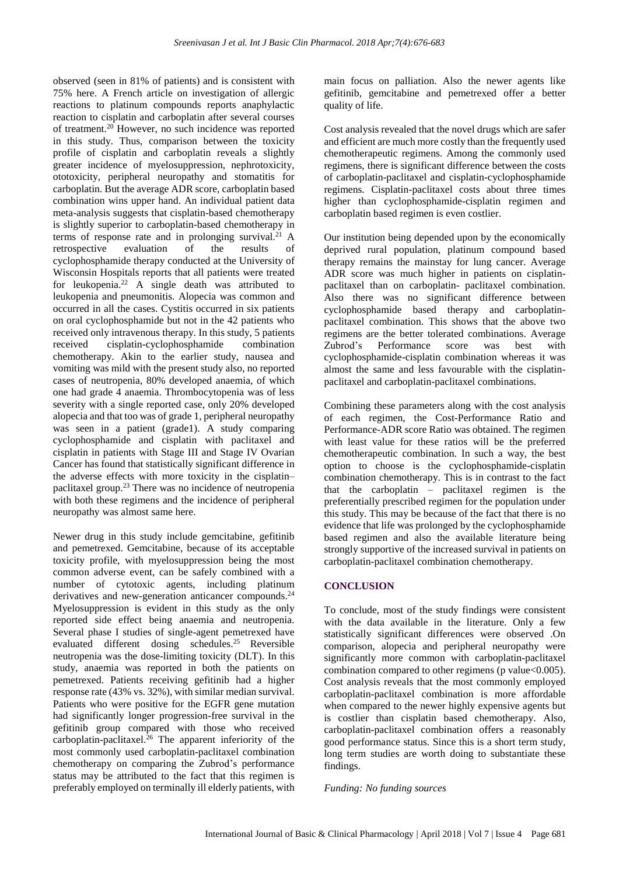observed (seen in 81% of patients) and is consistent with 75% here. A French article on investigation of allergic reactions to platinum compounds reports anaphylactic reaction to cisplatin and carboplatin after several courses of treatment. <sup>20</sup> However, no such incidence was reported in this study. Thus, comparison between the toxicity profile of cisplatin and carboplatin reveals a slightly greater incidence of myelosuppression, nephrotoxicity, ototoxicity, peripheral neuropathy and stomatitis for carboplatin. But the average ADR score, carboplatin based combination wins upper hand. An individual patient data meta-analysis suggests that cisplatin-based chemotherapy is slightly superior to carboplatin-based chemotherapy in terms of response rate and in prolonging survival.<sup>21</sup> A retrospective evaluation of the results of cyclophosphamide therapy conducted at the University of Wisconsin Hospitals reports that all patients were treated for leukopenia.<sup>22</sup> A single death was attributed to leukopenia and pneumonitis. Alopecia was common and occurred in all the cases. Cystitis occurred in six patients on oral cyclophosphamide but not in the 42 patients who received only intravenous therapy. In this study, 5 patients received cisplatin-cyclophosphamide combination chemotherapy. Akin to the earlier study, nausea and vomiting was mild with the present study also, no reported cases of neutropenia, 80% developed anaemia, of which one had grade 4 anaemia. Thrombocytopenia was of less severity with a single reported case, only 20% developed alopecia and that too was of grade 1, peripheral neuropathy was seen in a patient (grade1). A study comparing cyclophosphamide and cisplatin with paclitaxel and cisplatin in patients with Stage III and Stage IV Ovarian Cancer has found that statistically significant difference in the adverse effects with more toxicity in the cisplatin– paclitaxel group. <sup>23</sup> There was no incidence of neutropenia with both these regimens and the incidence of peripheral neuropathy was almost same here.

Newer drug in this study include gemcitabine, gefitinib and pemetrexed. Gemcitabine, because of its acceptable toxicity profile, with myelosuppression being the most common adverse event, can be safely combined with a number of cytotoxic agents, including platinum derivatives and new-generation anticancer compounds.<sup>24</sup> Myelosuppression is evident in this study as the only reported side effect being anaemia and neutropenia. Several phase I studies of single-agent pemetrexed have evaluated different dosing schedules. <sup>25</sup> Reversible neutropenia was the dose-limiting toxicity (DLT). In this study, anaemia was reported in both the patients on pemetrexed. Patients receiving gefitinib had a higher response rate (43% vs. 32%), with similar median survival. Patients who were positive for the EGFR gene mutation had significantly longer progression-free survival in the gefitinib group compared with those who received carboplatin-paclitaxel. <sup>26</sup> The apparent inferiority of the most commonly used carboplatin-paclitaxel combination chemotherapy on comparing the Zubrod's performance status may be attributed to the fact that this regimen is preferably employed on terminally ill elderly patients, with main focus on palliation. Also the newer agents like gefitinib, gemcitabine and pemetrexed offer a better quality of life.

Cost analysis revealed that the novel drugs which are safer and efficient are much more costly than the frequently used chemotherapeutic regimens. Among the commonly used regimens, there is significant difference between the costs of carboplatin-paclitaxel and cisplatin-cyclophosphamide regimens. Cisplatin-paclitaxel costs about three times higher than cyclophosphamide-cisplatin regimen and carboplatin based regimen is even costlier.

Our institution being depended upon by the economically deprived rural population, platinum compound based therapy remains the mainstay for lung cancer. Average ADR score was much higher in patients on cisplatinpaclitaxel than on carboplatin- paclitaxel combination. Also there was no significant difference between cyclophosphamide based therapy and carboplatinpaclitaxel combination. This shows that the above two regimens are the better tolerated combinations. Average Zubrod's Performance score was best with cyclophosphamide-cisplatin combination whereas it was almost the same and less favourable with the cisplatinpaclitaxel and carboplatin-paclitaxel combinations.

Combining these parameters along with the cost analysis of each regimen, the Cost-Performance Ratio and Performance-ADR score Ratio was obtained. The regimen with least value for these ratios will be the preferred chemotherapeutic combination. In such a way, the best option to choose is the cyclophosphamide-cisplatin combination chemotherapy. This is in contrast to the fact that the carboplatin – paclitaxel regimen is the preferentially prescribed regimen for the population under this study. This may be because of the fact that there is no evidence that life was prolonged by the cyclophosphamide based regimen and also the available literature being strongly supportive of the increased survival in patients on carboplatin-paclitaxel combination chemotherapy.

### **CONCLUSION**

To conclude, most of the study findings were consistent with the data available in the literature. Only a few statistically significant differences were observed .On comparison, alopecia and peripheral neuropathy were significantly more common with carboplatin-paclitaxel combination compared to other regimens ( $p$  value $<0.005$ ). Cost analysis reveals that the most commonly employed carboplatin-paclitaxel combination is more affordable when compared to the newer highly expensive agents but is costlier than cisplatin based chemotherapy. Also, carboplatin-paclitaxel combination offers a reasonably good performance status. Since this is a short term study, long term studies are worth doing to substantiate these findings.

*Funding: No funding sources*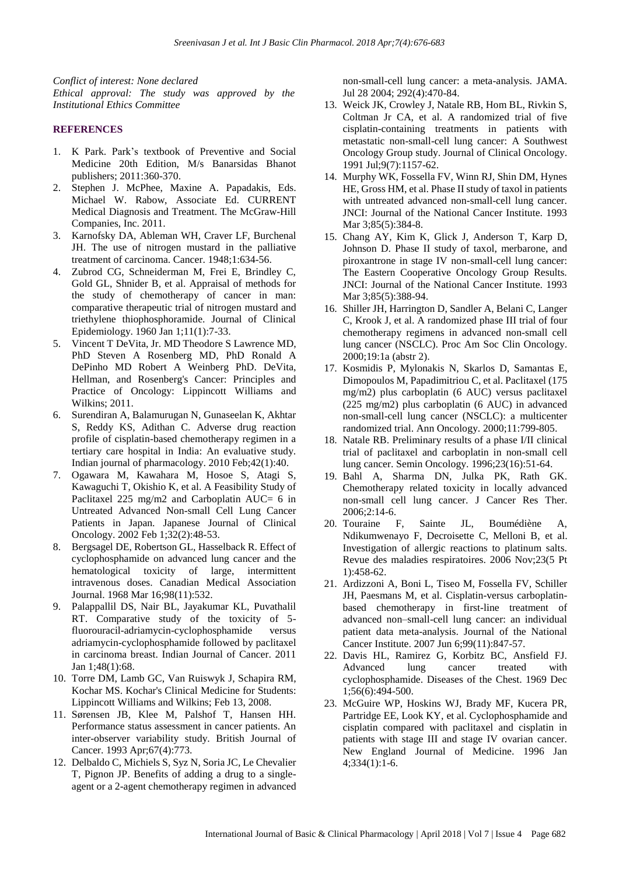*Conflict of interest: None declared Ethical approval: The study was approved by the Institutional Ethics Committee*

#### **REFERENCES**

- 1. K Park. Park's textbook of Preventive and Social Medicine 20th Edition, M/s Banarsidas Bhanot publishers; 2011:360-370.
- 2. Stephen J. McPhee, Maxine A. Papadakis, Eds. Michael W. Rabow, Associate Ed. CURRENT Medical Diagnosis and Treatment. The McGraw-Hill Companies, Inc. 2011.
- 3. Karnofsky DA, Ableman WH, Craver LF, Burchenal JH. The use of nitrogen mustard in the palliative treatment of carcinoma. Cancer. 1948;1:634-56.
- 4. Zubrod CG, Schneiderman M, Frei E, Brindley C, Gold GL, Shnider B, et al. Appraisal of methods for the study of chemotherapy of cancer in man: comparative therapeutic trial of nitrogen mustard and triethylene thiophosphoramide. Journal of Clinical Epidemiology. 1960 Jan 1;11(1):7-33.
- 5. Vincent T DeVita, Jr. MD Theodore S Lawrence MD, PhD Steven A Rosenberg MD, PhD Ronald A DePinho MD Robert A Weinberg PhD. DeVita, Hellman, and Rosenberg's Cancer: Principles and Practice of Oncology: Lippincott Williams and Wilkins; 2011.
- 6. Surendiran A, Balamurugan N, Gunaseelan K, Akhtar S, Reddy KS, Adithan C. Adverse drug reaction profile of cisplatin-based chemotherapy regimen in a tertiary care hospital in India: An evaluative study. Indian journal of pharmacology. 2010 Feb;42(1):40.
- 7. Ogawara M, Kawahara M, Hosoe S, Atagi S, Kawaguchi T, Okishio K, et al. A Feasibility Study of Paclitaxel 225 mg/m2 and Carboplatin AUC= 6 in Untreated Advanced Non-small Cell Lung Cancer Patients in Japan. Japanese Journal of Clinical Oncology. 2002 Feb 1;32(2):48-53.
- 8. Bergsagel DE, Robertson GL, Hasselback R. Effect of cyclophosphamide on advanced lung cancer and the hematological toxicity of large, intermittent intravenous doses. Canadian Medical Association Journal. 1968 Mar 16;98(11):532.
- 9. Palappallil DS, Nair BL, Jayakumar KL, Puvathalil RT. Comparative study of the toxicity of 5 fluorouracil-adriamycin-cyclophosphamide versus adriamycin-cyclophosphamide followed by paclitaxel in carcinoma breast. Indian Journal of Cancer. 2011 Jan 1;48(1):68.
- 10. Torre DM, Lamb GC, Van Ruiswyk J, Schapira RM, Kochar MS. Kochar's Clinical Medicine for Students: Lippincott Williams and Wilkins; Feb 13, 2008.
- 11. Sørensen JB, Klee M, Palshof T, Hansen HH. Performance status assessment in cancer patients. An inter-observer variability study. British Journal of Cancer. 1993 Apr;67(4):773.
- 12. Delbaldo C, Michiels S, Syz N, Soria JC, Le Chevalier T, Pignon JP. Benefits of adding a drug to a singleagent or a 2-agent chemotherapy regimen in advanced

non-small-cell lung cancer: a meta-analysis. JAMA. Jul 28 2004; 292(4):470-84.

- 13. Weick JK, Crowley J, Natale RB, Hom BL, Rivkin S, Coltman Jr CA, et al. A randomized trial of five cisplatin-containing treatments in patients with metastatic non-small-cell lung cancer: A Southwest Oncology Group study. Journal of Clinical Oncology. 1991 Jul;9(7):1157-62.
- 14. Murphy WK, Fossella FV, Winn RJ, Shin DM, Hynes HE, Gross HM, et al. Phase II study of taxol in patients with untreated advanced non-small-cell lung cancer. JNCI: Journal of the National Cancer Institute. 1993 Mar 3:85(5):384-8.
- 15. Chang AY, Kim K, Glick J, Anderson T, Karp D, Johnson D. Phase II study of taxol, merbarone, and piroxantrone in stage IV non-small-cell lung cancer: The Eastern Cooperative Oncology Group Results. JNCI: Journal of the National Cancer Institute. 1993 Mar 3;85(5):388-94.
- 16. Shiller JH, Harrington D, Sandler A, Belani C, Langer C, Krook J, et al. A randomized phase III trial of four chemotherapy regimens in advanced non-small cell lung cancer (NSCLC). Proc Am Soc Clin Oncology. 2000;19:1a (abstr 2).
- 17. Kosmidis P, Mylonakis N, Skarlos D, Samantas E, Dimopoulos M, Papadimitriou C, et al. Paclitaxel (175 mg/m2) plus carboplatin (6 AUC) versus paclitaxel (225 mg/m2) plus carboplatin (6 AUC) in advanced non-small-cell lung cancer (NSCLC): a multicenter randomized trial. Ann Oncology. 2000;11:799-805.
- 18. Natale RB. Preliminary results of a phase I/II clinical trial of paclitaxel and carboplatin in non-small cell lung cancer. Semin Oncology. 1996;23(16):51-64.
- 19. Bahl A, Sharma DN, Julka PK, Rath GK. Chemotherapy related toxicity in locally advanced non-small cell lung cancer. J Cancer Res Ther. 2006;2:14-6.
- 20. Touraine F, Sainte JL, Boumédiène A, Ndikumwenayo F, Decroisette C, Melloni B, et al. Investigation of allergic reactions to platinum salts. Revue des maladies respiratoires. 2006 Nov;23(5 Pt 1):458-62.
- 21. Ardizzoni A, Boni L, Tiseo M, Fossella FV, Schiller JH, Paesmans M, et al. Cisplatin-versus carboplatinbased chemotherapy in first-line treatment of advanced non–small-cell lung cancer: an individual patient data meta-analysis. Journal of the National Cancer Institute. 2007 Jun 6;99(11):847-57.
- 22. Davis HL, Ramirez G, Korbitz BC, Ansfield FJ. Advanced lung cancer treated with cyclophosphamide. Diseases of the Chest. 1969 Dec 1;56(6):494-500.
- 23. McGuire WP, Hoskins WJ, Brady MF, Kucera PR, Partridge EE, Look KY, et al. Cyclophosphamide and cisplatin compared with paclitaxel and cisplatin in patients with stage III and stage IV ovarian cancer. New England Journal of Medicine. 1996 Jan 4;334(1):1-6.